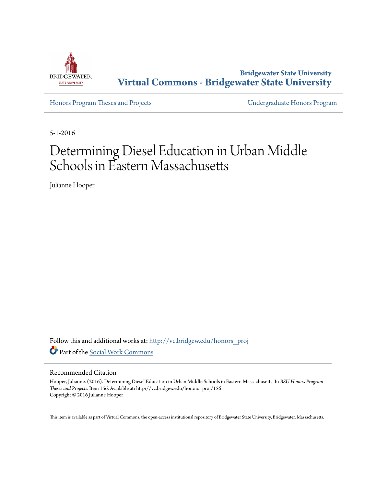

**Bridgewater State University [Virtual Commons - Bridgewater State University](http://vc.bridgew.edu?utm_source=vc.bridgew.edu%2Fhonors_proj%2F156&utm_medium=PDF&utm_campaign=PDFCoverPages)**

[Honors Program Theses and Projects](http://vc.bridgew.edu/honors_proj?utm_source=vc.bridgew.edu%2Fhonors_proj%2F156&utm_medium=PDF&utm_campaign=PDFCoverPages) [Undergraduate Honors Program](http://vc.bridgew.edu/honors?utm_source=vc.bridgew.edu%2Fhonors_proj%2F156&utm_medium=PDF&utm_campaign=PDFCoverPages)

5-1-2016

# Determining Diesel Education in Urban Middle Schools in Eastern Massachusetts

Julianne Hooper

Follow this and additional works at: [http://vc.bridgew.edu/honors\\_proj](http://vc.bridgew.edu/honors_proj?utm_source=vc.bridgew.edu%2Fhonors_proj%2F156&utm_medium=PDF&utm_campaign=PDFCoverPages) Part of the [Social Work Commons](http://network.bepress.com/hgg/discipline/713?utm_source=vc.bridgew.edu%2Fhonors_proj%2F156&utm_medium=PDF&utm_campaign=PDFCoverPages)

## Recommended Citation

Hooper, Julianne. (2016). Determining Diesel Education in Urban Middle Schools in Eastern Massachusetts. In *BSU Honors Program Theses and Projects.* Item 156. Available at: http://vc.bridgew.edu/honors\_proj/156 Copyright © 2016 Julianne Hooper

This item is available as part of Virtual Commons, the open-access institutional repository of Bridgewater State University, Bridgewater, Massachusetts.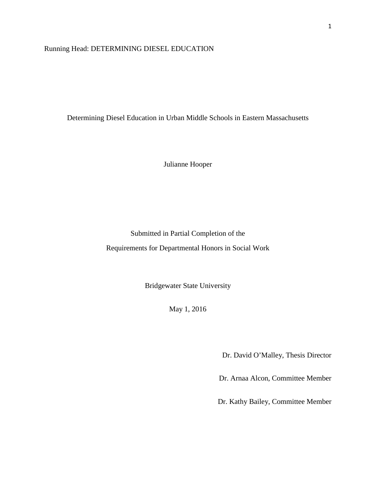# Running Head: DETERMINING DIESEL EDUCATION

Determining Diesel Education in Urban Middle Schools in Eastern Massachusetts

Julianne Hooper

Submitted in Partial Completion of the Requirements for Departmental Honors in Social Work

Bridgewater State University

May 1, 2016

Dr. David O'Malley, Thesis Director

Dr. Arnaa Alcon, Committee Member

Dr. Kathy Bailey, Committee Member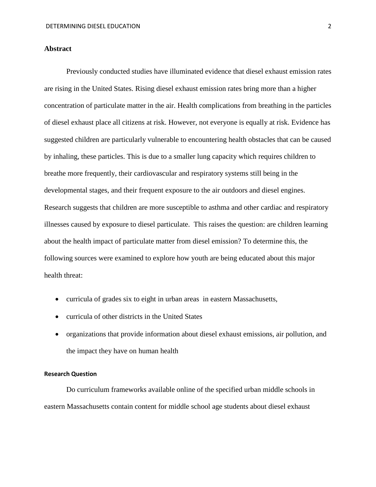## **Abstract**

Previously conducted studies have illuminated evidence that diesel exhaust emission rates are rising in the United States. Rising diesel exhaust emission rates bring more than a higher concentration of particulate matter in the air. Health complications from breathing in the particles of diesel exhaust place all citizens at risk. However, not everyone is equally at risk. Evidence has suggested children are particularly vulnerable to encountering health obstacles that can be caused by inhaling, these particles. This is due to a smaller lung capacity which requires children to breathe more frequently, their cardiovascular and respiratory systems still being in the developmental stages, and their frequent exposure to the air outdoors and diesel engines. Research suggests that children are more susceptible to asthma and other cardiac and respiratory illnesses caused by exposure to diesel particulate. This raises the question: are children learning about the health impact of particulate matter from diesel emission? To determine this, the following sources were examined to explore how youth are being educated about this major health threat:

- curricula of grades six to eight in urban areas in eastern Massachusetts,
- curricula of other districts in the United States
- organizations that provide information about diesel exhaust emissions, air pollution, and the impact they have on human health

## **Research Question**

Do curriculum frameworks available online of the specified urban middle schools in eastern Massachusetts contain content for middle school age students about diesel exhaust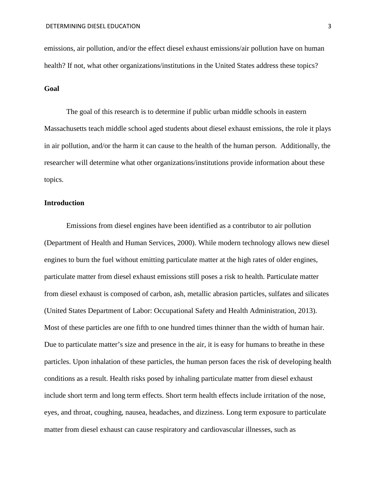emissions, air pollution, and/or the effect diesel exhaust emissions/air pollution have on human health? If not, what other organizations/institutions in the United States address these topics?

# **Goal**

The goal of this research is to determine if public urban middle schools in eastern Massachusetts teach middle school aged students about diesel exhaust emissions, the role it plays in air pollution, and/or the harm it can cause to the health of the human person. Additionally, the researcher will determine what other organizations/institutions provide information about these topics.

# **Introduction**

Emissions from diesel engines have been identified as a contributor to air pollution (Department of Health and Human Services, 2000). While modern technology allows new diesel engines to burn the fuel without emitting particulate matter at the high rates of older engines, particulate matter from diesel exhaust emissions still poses a risk to health. Particulate matter from diesel exhaust is composed of carbon, ash, metallic abrasion particles, sulfates and silicates (United States Department of Labor: Occupational Safety and Health Administration, 2013). Most of these particles are one fifth to one hundred times thinner than the width of human hair. Due to particulate matter's size and presence in the air, it is easy for humans to breathe in these particles. Upon inhalation of these particles, the human person faces the risk of developing health conditions as a result. Health risks posed by inhaling particulate matter from diesel exhaust include short term and long term effects. Short term health effects include irritation of the nose, eyes, and throat, coughing, nausea, headaches, and dizziness. Long term exposure to particulate matter from diesel exhaust can cause respiratory and cardiovascular illnesses, such as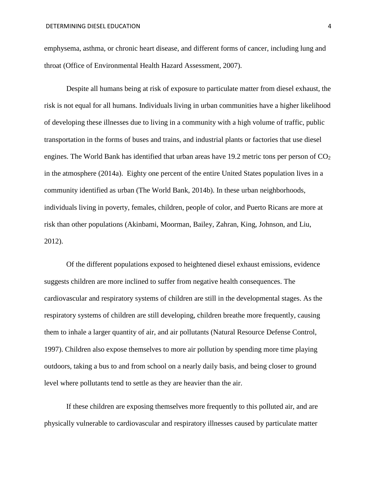emphysema, asthma, or chronic heart disease, and different forms of cancer, including lung and throat (Office of Environmental Health Hazard Assessment, 2007).

Despite all humans being at risk of exposure to particulate matter from diesel exhaust, the risk is not equal for all humans. Individuals living in urban communities have a higher likelihood of developing these illnesses due to living in a community with a high volume of traffic, public transportation in the forms of buses and trains, and industrial plants or factories that use diesel engines. The World Bank has identified that urban areas have 19.2 metric tons per person of  $CO<sub>2</sub>$ in the atmosphere (2014a). Eighty one percent of the entire United States population lives in a community identified as urban (The World Bank, 2014b). In these urban neighborhoods, individuals living in poverty, females, children, people of color, and Puerto Ricans are more at risk than other populations (Akinbami, Moorman, Bailey, Zahran, King, Johnson, and Liu, 2012).

Of the different populations exposed to heightened diesel exhaust emissions, evidence suggests children are more inclined to suffer from negative health consequences. The cardiovascular and respiratory systems of children are still in the developmental stages. As the respiratory systems of children are still developing, children breathe more frequently, causing them to inhale a larger quantity of air, and air pollutants (Natural Resource Defense Control, 1997). Children also expose themselves to more air pollution by spending more time playing outdoors, taking a bus to and from school on a nearly daily basis, and being closer to ground level where pollutants tend to settle as they are heavier than the air.

If these children are exposing themselves more frequently to this polluted air, and are physically vulnerable to cardiovascular and respiratory illnesses caused by particulate matter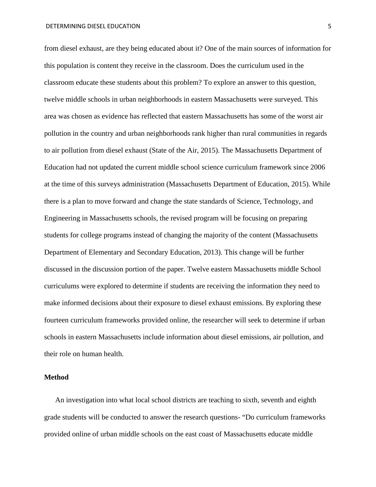from diesel exhaust, are they being educated about it? One of the main sources of information for this population is content they receive in the classroom. Does the curriculum used in the classroom educate these students about this problem? To explore an answer to this question, twelve middle schools in urban neighborhoods in eastern Massachusetts were surveyed. This area was chosen as evidence has reflected that eastern Massachusetts has some of the worst air pollution in the country and urban neighborhoods rank higher than rural communities in regards to air pollution from diesel exhaust (State of the Air, 2015). The Massachusetts Department of Education had not updated the current middle school science curriculum framework since 2006 at the time of this surveys administration (Massachusetts Department of Education, 2015). While there is a plan to move forward and change the state standards of Science, Technology, and Engineering in Massachusetts schools, the revised program will be focusing on preparing students for college programs instead of changing the majority of the content (Massachusetts Department of Elementary and Secondary Education, 2013). This change will be further discussed in the discussion portion of the paper. Twelve eastern Massachusetts middle School curriculums were explored to determine if students are receiving the information they need to make informed decisions about their exposure to diesel exhaust emissions. By exploring these fourteen curriculum frameworks provided online, the researcher will seek to determine if urban schools in eastern Massachusetts include information about diesel emissions, air pollution, and their role on human health.

#### **Method**

An investigation into what local school districts are teaching to sixth, seventh and eighth grade students will be conducted to answer the research questions- "Do curriculum frameworks provided online of urban middle schools on the east coast of Massachusetts educate middle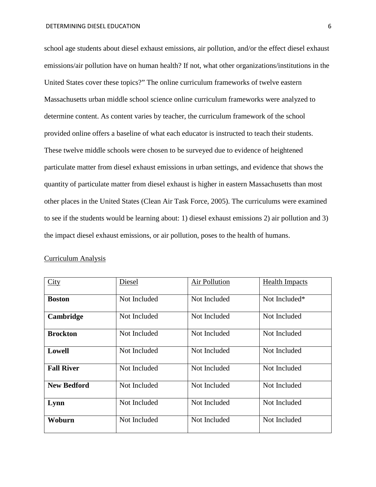school age students about diesel exhaust emissions, air pollution, and/or the effect diesel exhaust emissions/air pollution have on human health? If not, what other organizations/institutions in the United States cover these topics?" The online curriculum frameworks of twelve eastern Massachusetts urban middle school science online curriculum frameworks were analyzed to determine content. As content varies by teacher, the curriculum framework of the school provided online offers a baseline of what each educator is instructed to teach their students. These twelve middle schools were chosen to be surveyed due to evidence of heightened particulate matter from diesel exhaust emissions in urban settings, and evidence that shows the quantity of particulate matter from diesel exhaust is higher in eastern Massachusetts than most other places in the United States (Clean Air Task Force, 2005). The curriculums were examined to see if the students would be learning about: 1) diesel exhaust emissions 2) air pollution and 3) the impact diesel exhaust emissions, or air pollution, poses to the health of humans.

#### Curriculum Analysis

| City               | Diesel       | <b>Air Pollution</b> | <b>Health Impacts</b> |
|--------------------|--------------|----------------------|-----------------------|
| <b>Boston</b>      | Not Included | Not Included         | Not Included*         |
| Cambridge          | Not Included | Not Included         | Not Included          |
| <b>Brockton</b>    | Not Included | Not Included         | Not Included          |
| <b>Lowell</b>      | Not Included | Not Included         | Not Included          |
| <b>Fall River</b>  | Not Included | Not Included         | Not Included          |
| <b>New Bedford</b> | Not Included | Not Included         | Not Included          |
| Lynn               | Not Included | Not Included         | Not Included          |
| Woburn             | Not Included | Not Included         | Not Included          |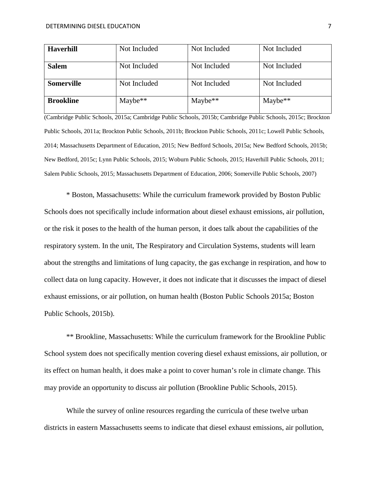| <b>Haverhill</b>  | Not Included | Not Included | Not Included |
|-------------------|--------------|--------------|--------------|
| <b>Salem</b>      | Not Included | Not Included | Not Included |
| <b>Somerville</b> | Not Included | Not Included | Not Included |
| <b>Brookline</b>  | $Maybe**$    | $Maybe**$    | Maybe**      |

(Cambridge Public Schools, 2015a; Cambridge Public Schools, 2015b; Cambridge Public Schools, 2015c; Brockton Public Schools, 2011a; Brockton Public Schools, 2011b; Brockton Public Schools, 2011c; Lowell Public Schools, 2014; Massachusetts Department of Education, 2015; New Bedford Schools, 2015a; New Bedford Schools, 2015b; New Bedford, 2015c; Lynn Public Schools, 2015; Woburn Public Schools, 2015; Haverhill Public Schools, 2011; Salem Public Schools, 2015; Massachusetts Department of Education, 2006; Somerville Public Schools, 2007)

\* Boston, Massachusetts: While the curriculum framework provided by Boston Public Schools does not specifically include information about diesel exhaust emissions, air pollution, or the risk it poses to the health of the human person, it does talk about the capabilities of the respiratory system. In the unit, The Respiratory and Circulation Systems, students will learn about the strengths and limitations of lung capacity, the gas exchange in respiration, and how to collect data on lung capacity. However, it does not indicate that it discusses the impact of diesel exhaust emissions, or air pollution, on human health (Boston Public Schools 2015a; Boston Public Schools, 2015b).

\*\* Brookline, Massachusetts: While the curriculum framework for the Brookline Public School system does not specifically mention covering diesel exhaust emissions, air pollution, or its effect on human health, it does make a point to cover human's role in climate change. This may provide an opportunity to discuss air pollution (Brookline Public Schools, 2015).

While the survey of online resources regarding the curricula of these twelve urban districts in eastern Massachusetts seems to indicate that diesel exhaust emissions, air pollution,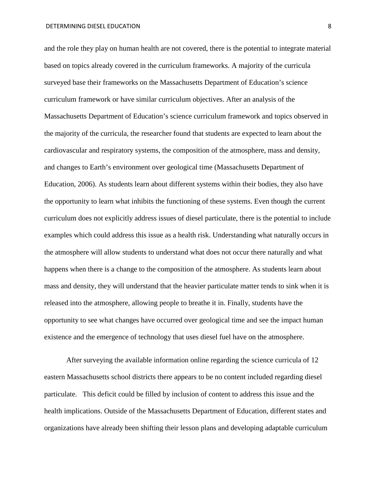and the role they play on human health are not covered, there is the potential to integrate material based on topics already covered in the curriculum frameworks. A majority of the curricula surveyed base their frameworks on the Massachusetts Department of Education's science curriculum framework or have similar curriculum objectives. After an analysis of the Massachusetts Department of Education's science curriculum framework and topics observed in the majority of the curricula, the researcher found that students are expected to learn about the cardiovascular and respiratory systems, the composition of the atmosphere, mass and density, and changes to Earth's environment over geological time (Massachusetts Department of Education, 2006). As students learn about different systems within their bodies, they also have the opportunity to learn what inhibits the functioning of these systems. Even though the current curriculum does not explicitly address issues of diesel particulate, there is the potential to include examples which could address this issue as a health risk. Understanding what naturally occurs in the atmosphere will allow students to understand what does not occur there naturally and what happens when there is a change to the composition of the atmosphere. As students learn about mass and density, they will understand that the heavier particulate matter tends to sink when it is released into the atmosphere, allowing people to breathe it in. Finally, students have the opportunity to see what changes have occurred over geological time and see the impact human existence and the emergence of technology that uses diesel fuel have on the atmosphere.

After surveying the available information online regarding the science curricula of 12 eastern Massachusetts school districts there appears to be no content included regarding diesel particulate. This deficit could be filled by inclusion of content to address this issue and the health implications. Outside of the Massachusetts Department of Education, different states and organizations have already been shifting their lesson plans and developing adaptable curriculum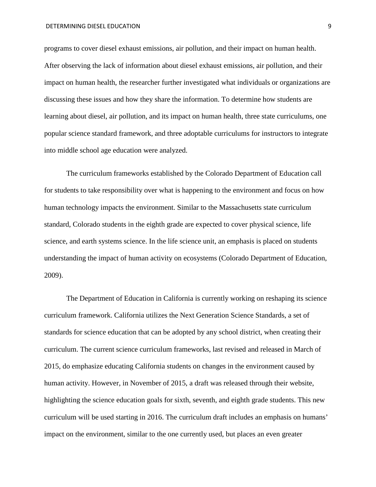programs to cover diesel exhaust emissions, air pollution, and their impact on human health. After observing the lack of information about diesel exhaust emissions, air pollution, and their impact on human health, the researcher further investigated what individuals or organizations are discussing these issues and how they share the information. To determine how students are learning about diesel, air pollution, and its impact on human health, three state curriculums, one popular science standard framework, and three adoptable curriculums for instructors to integrate into middle school age education were analyzed.

The curriculum frameworks established by the Colorado Department of Education call for students to take responsibility over what is happening to the environment and focus on how human technology impacts the environment. Similar to the Massachusetts state curriculum standard, Colorado students in the eighth grade are expected to cover physical science, life science, and earth systems science. In the life science unit, an emphasis is placed on students understanding the impact of human activity on ecosystems (Colorado Department of Education, 2009).

The Department of Education in California is currently working on reshaping its science curriculum framework. California utilizes the Next Generation Science Standards, a set of standards for science education that can be adopted by any school district, when creating their curriculum. The current science curriculum frameworks, last revised and released in March of 2015, do emphasize educating California students on changes in the environment caused by human activity. However, in November of 2015, a draft was released through their website, highlighting the science education goals for sixth, seventh, and eighth grade students. This new curriculum will be used starting in 2016. The curriculum draft includes an emphasis on humans' impact on the environment, similar to the one currently used, but places an even greater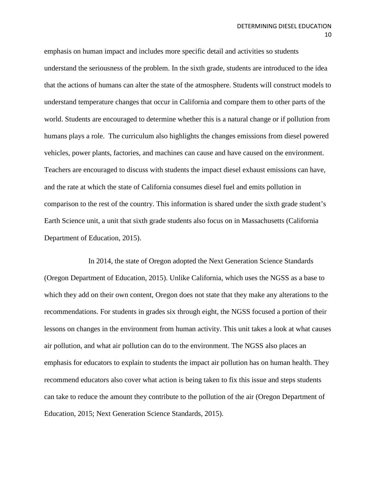emphasis on human impact and includes more specific detail and activities so students understand the seriousness of the problem. In the sixth grade, students are introduced to the idea that the actions of humans can alter the state of the atmosphere. Students will construct models to understand temperature changes that occur in California and compare them to other parts of the world. Students are encouraged to determine whether this is a natural change or if pollution from humans plays a role. The curriculum also highlights the changes emissions from diesel powered vehicles, power plants, factories, and machines can cause and have caused on the environment. Teachers are encouraged to discuss with students the impact diesel exhaust emissions can have, and the rate at which the state of California consumes diesel fuel and emits pollution in comparison to the rest of the country. This information is shared under the sixth grade student's Earth Science unit, a unit that sixth grade students also focus on in Massachusetts (California Department of Education, 2015).

In 2014, the state of Oregon adopted the Next Generation Science Standards (Oregon Department of Education, 2015). Unlike California, which uses the NGSS as a base to which they add on their own content, Oregon does not state that they make any alterations to the recommendations. For students in grades six through eight, the NGSS focused a portion of their lessons on changes in the environment from human activity. This unit takes a look at what causes air pollution, and what air pollution can do to the environment. The NGSS also places an emphasis for educators to explain to students the impact air pollution has on human health. They recommend educators also cover what action is being taken to fix this issue and steps students can take to reduce the amount they contribute to the pollution of the air (Oregon Department of Education, 2015; Next Generation Science Standards, 2015).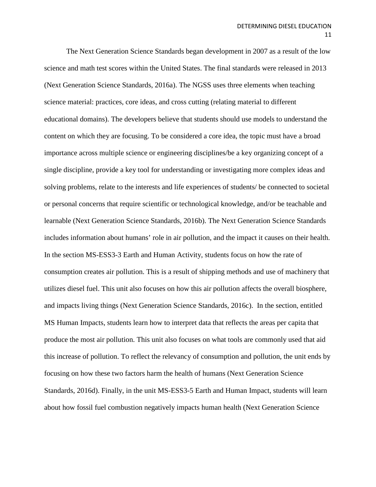The Next Generation Science Standards began development in 2007 as a result of the low science and math test scores within the United States. The final standards were released in 2013 (Next Generation Science Standards, 2016a). The NGSS uses three elements when teaching science material: practices, core ideas, and cross cutting (relating material to different educational domains). The developers believe that students should use models to understand the content on which they are focusing. To be considered a core idea, the topic must have a broad importance across multiple science or engineering disciplines/be a key organizing concept of a single discipline, provide a key tool for understanding or investigating more complex ideas and solving problems, relate to the interests and life experiences of students/ be connected to societal or personal concerns that require scientific or technological knowledge, and/or be teachable and learnable (Next Generation Science Standards, 2016b). The Next Generation Science Standards includes information about humans' role in air pollution, and the impact it causes on their health. In the section MS-ESS3-3 Earth and Human Activity, students focus on how the rate of consumption creates air pollution. This is a result of shipping methods and use of machinery that utilizes diesel fuel. This unit also focuses on how this air pollution affects the overall biosphere, and impacts living things (Next Generation Science Standards, 2016c). In the section, entitled MS Human Impacts, students learn how to interpret data that reflects the areas per capita that produce the most air pollution. This unit also focuses on what tools are commonly used that aid this increase of pollution. To reflect the relevancy of consumption and pollution, the unit ends by focusing on how these two factors harm the health of humans (Next Generation Science Standards, 2016d). Finally, in the unit MS-ESS3-5 Earth and Human Impact, students will learn about how fossil fuel combustion negatively impacts human health (Next Generation Science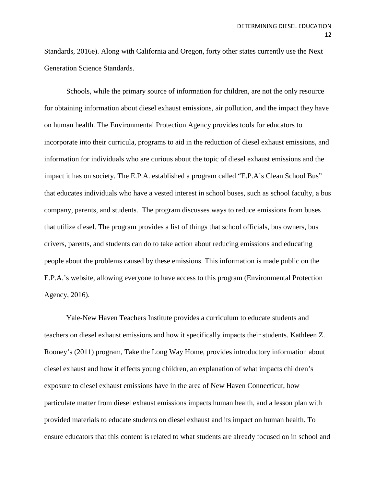Standards, 2016e). Along with California and Oregon, forty other states currently use the Next Generation Science Standards.

Schools, while the primary source of information for children, are not the only resource for obtaining information about diesel exhaust emissions, air pollution, and the impact they have on human health. The Environmental Protection Agency provides tools for educators to incorporate into their curricula, programs to aid in the reduction of diesel exhaust emissions, and information for individuals who are curious about the topic of diesel exhaust emissions and the impact it has on society. The E.P.A. established a program called "E.P.A's Clean School Bus" that educates individuals who have a vested interest in school buses, such as school faculty, a bus company, parents, and students. The program discusses ways to reduce emissions from buses that utilize diesel. The program provides a list of things that school officials, bus owners, bus drivers, parents, and students can do to take action about reducing emissions and educating people about the problems caused by these emissions. This information is made public on the E.P.A.'s website, allowing everyone to have access to this program (Environmental Protection Agency, 2016).

Yale-New Haven Teachers Institute provides a curriculum to educate students and teachers on diesel exhaust emissions and how it specifically impacts their students. Kathleen Z. Rooney's (2011) program, Take the Long Way Home, provides introductory information about diesel exhaust and how it effects young children, an explanation of what impacts children's exposure to diesel exhaust emissions have in the area of New Haven Connecticut, how particulate matter from diesel exhaust emissions impacts human health, and a lesson plan with provided materials to educate students on diesel exhaust and its impact on human health. To ensure educators that this content is related to what students are already focused on in school and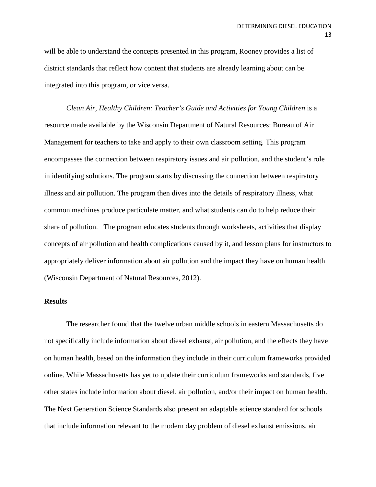will be able to understand the concepts presented in this program, Rooney provides a list of district standards that reflect how content that students are already learning about can be integrated into this program, or vice versa.

*Clean Air, Healthy Children: Teacher's Guide and Activities for Young Children* is a resource made available by the Wisconsin Department of Natural Resources: Bureau of Air Management for teachers to take and apply to their own classroom setting. This program encompasses the connection between respiratory issues and air pollution, and the student's role in identifying solutions. The program starts by discussing the connection between respiratory illness and air pollution. The program then dives into the details of respiratory illness, what common machines produce particulate matter, and what students can do to help reduce their share of pollution. The program educates students through worksheets, activities that display concepts of air pollution and health complications caused by it, and lesson plans for instructors to appropriately deliver information about air pollution and the impact they have on human health (Wisconsin Department of Natural Resources, 2012).

# **Results**

The researcher found that the twelve urban middle schools in eastern Massachusetts do not specifically include information about diesel exhaust, air pollution, and the effects they have on human health, based on the information they include in their curriculum frameworks provided online. While Massachusetts has yet to update their curriculum frameworks and standards, five other states include information about diesel, air pollution, and/or their impact on human health. The Next Generation Science Standards also present an adaptable science standard for schools that include information relevant to the modern day problem of diesel exhaust emissions, air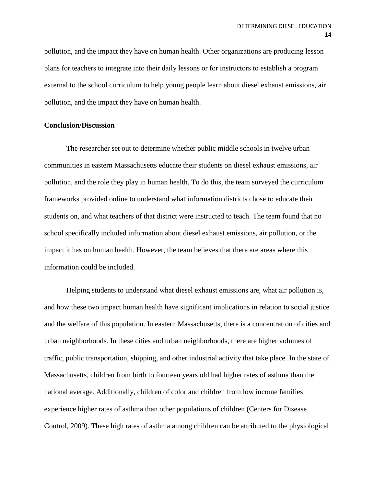pollution, and the impact they have on human health. Other organizations are producing lesson plans for teachers to integrate into their daily lessons or for instructors to establish a program external to the school curriculum to help young people learn about diesel exhaust emissions, air pollution, and the impact they have on human health.

# **Conclusion/Discussion**

The researcher set out to determine whether public middle schools in twelve urban communities in eastern Massachusetts educate their students on diesel exhaust emissions, air pollution, and the role they play in human health. To do this, the team surveyed the curriculum frameworks provided online to understand what information districts chose to educate their students on, and what teachers of that district were instructed to teach. The team found that no school specifically included information about diesel exhaust emissions, air pollution, or the impact it has on human health. However, the team believes that there are areas where this information could be included.

Helping students to understand what diesel exhaust emissions are, what air pollution is, and how these two impact human health have significant implications in relation to social justice and the welfare of this population. In eastern Massachusetts, there is a concentration of cities and urban neighborhoods. In these cities and urban neighborhoods, there are higher volumes of traffic, public transportation, shipping, and other industrial activity that take place. In the state of Massachusetts, children from birth to fourteen years old had higher rates of asthma than the national average. Additionally, children of color and children from low income families experience higher rates of asthma than other populations of children (Centers for Disease Control, 2009). These high rates of asthma among children can be attributed to the physiological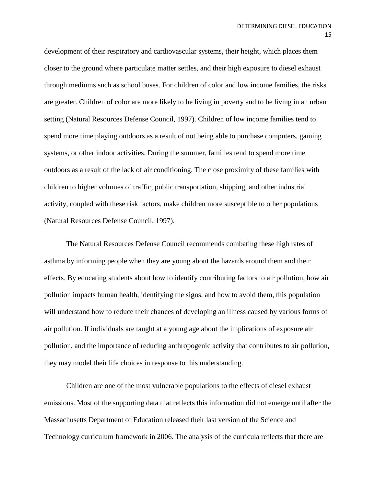development of their respiratory and cardiovascular systems, their height, which places them closer to the ground where particulate matter settles, and their high exposure to diesel exhaust through mediums such as school buses. For children of color and low income families, the risks are greater. Children of color are more likely to be living in poverty and to be living in an urban setting (Natural Resources Defense Council, 1997). Children of low income families tend to spend more time playing outdoors as a result of not being able to purchase computers, gaming systems, or other indoor activities. During the summer, families tend to spend more time outdoors as a result of the lack of air conditioning. The close proximity of these families with children to higher volumes of traffic, public transportation, shipping, and other industrial activity, coupled with these risk factors, make children more susceptible to other populations (Natural Resources Defense Council, 1997).

The Natural Resources Defense Council recommends combating these high rates of asthma by informing people when they are young about the hazards around them and their effects. By educating students about how to identify contributing factors to air pollution, how air pollution impacts human health, identifying the signs, and how to avoid them, this population will understand how to reduce their chances of developing an illness caused by various forms of air pollution. If individuals are taught at a young age about the implications of exposure air pollution, and the importance of reducing anthropogenic activity that contributes to air pollution, they may model their life choices in response to this understanding.

Children are one of the most vulnerable populations to the effects of diesel exhaust emissions. Most of the supporting data that reflects this information did not emerge until after the Massachusetts Department of Education released their last version of the Science and Technology curriculum framework in 2006. The analysis of the curricula reflects that there are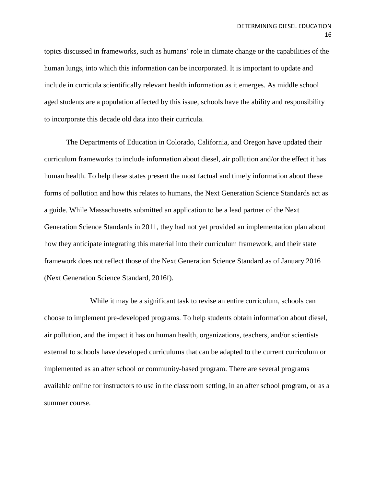topics discussed in frameworks, such as humans' role in climate change or the capabilities of the human lungs, into which this information can be incorporated. It is important to update and include in curricula scientifically relevant health information as it emerges. As middle school aged students are a population affected by this issue, schools have the ability and responsibility to incorporate this decade old data into their curricula.

The Departments of Education in Colorado, California, and Oregon have updated their curriculum frameworks to include information about diesel, air pollution and/or the effect it has human health. To help these states present the most factual and timely information about these forms of pollution and how this relates to humans, the Next Generation Science Standards act as a guide. While Massachusetts submitted an application to be a lead partner of the Next Generation Science Standards in 2011, they had not yet provided an implementation plan about how they anticipate integrating this material into their curriculum framework, and their state framework does not reflect those of the Next Generation Science Standard as of January 2016 (Next Generation Science Standard, 2016f).

While it may be a significant task to revise an entire curriculum, schools can choose to implement pre-developed programs. To help students obtain information about diesel, air pollution, and the impact it has on human health, organizations, teachers, and/or scientists external to schools have developed curriculums that can be adapted to the current curriculum or implemented as an after school or community-based program. There are several programs available online for instructors to use in the classroom setting, in an after school program, or as a summer course.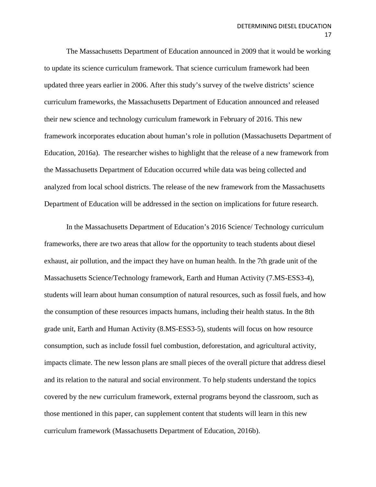The Massachusetts Department of Education announced in 2009 that it would be working to update its science curriculum framework. That science curriculum framework had been updated three years earlier in 2006. After this study's survey of the twelve districts' science curriculum frameworks, the Massachusetts Department of Education announced and released their new science and technology curriculum framework in February of 2016. This new framework incorporates education about human's role in pollution (Massachusetts Department of Education, 2016a). The researcher wishes to highlight that the release of a new framework from the Massachusetts Department of Education occurred while data was being collected and analyzed from local school districts. The release of the new framework from the Massachusetts Department of Education will be addressed in the section on implications for future research.

In the Massachusetts Department of Education's 2016 Science/ Technology curriculum frameworks, there are two areas that allow for the opportunity to teach students about diesel exhaust, air pollution, and the impact they have on human health. In the 7th grade unit of the Massachusetts Science/Technology framework, Earth and Human Activity (7.MS-ESS3-4), students will learn about human consumption of natural resources, such as fossil fuels, and how the consumption of these resources impacts humans, including their health status. In the 8th grade unit, Earth and Human Activity (8.MS-ESS3-5), students will focus on how resource consumption, such as include fossil fuel combustion, deforestation, and agricultural activity, impacts climate. The new lesson plans are small pieces of the overall picture that address diesel and its relation to the natural and social environment. To help students understand the topics covered by the new curriculum framework, external programs beyond the classroom, such as those mentioned in this paper, can supplement content that students will learn in this new curriculum framework (Massachusetts Department of Education, 2016b).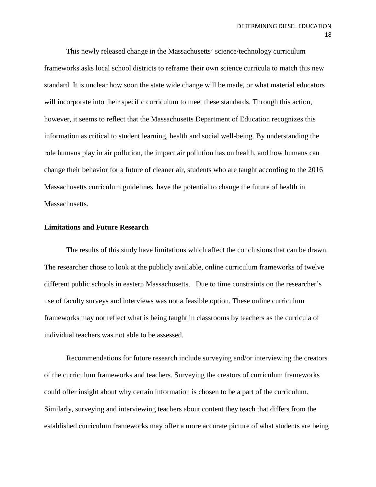This newly released change in the Massachusetts' science/technology curriculum frameworks asks local school districts to reframe their own science curricula to match this new standard. It is unclear how soon the state wide change will be made, or what material educators will incorporate into their specific curriculum to meet these standards. Through this action, however, it seems to reflect that the Massachusetts Department of Education recognizes this information as critical to student learning, health and social well-being. By understanding the role humans play in air pollution, the impact air pollution has on health, and how humans can change their behavior for a future of cleaner air, students who are taught according to the 2016 Massachusetts curriculum guidelines have the potential to change the future of health in Massachusetts.

# **Limitations and Future Research**

The results of this study have limitations which affect the conclusions that can be drawn. The researcher chose to look at the publicly available, online curriculum frameworks of twelve different public schools in eastern Massachusetts. Due to time constraints on the researcher's use of faculty surveys and interviews was not a feasible option. These online curriculum frameworks may not reflect what is being taught in classrooms by teachers as the curricula of individual teachers was not able to be assessed.

Recommendations for future research include surveying and/or interviewing the creators of the curriculum frameworks and teachers. Surveying the creators of curriculum frameworks could offer insight about why certain information is chosen to be a part of the curriculum. Similarly, surveying and interviewing teachers about content they teach that differs from the established curriculum frameworks may offer a more accurate picture of what students are being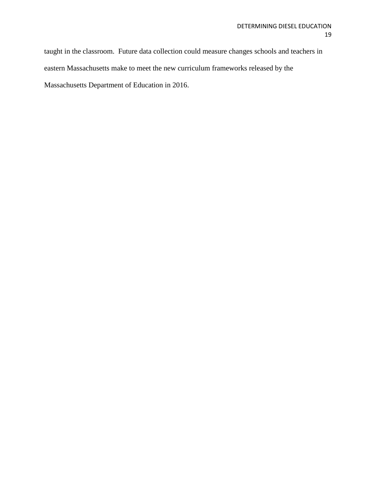taught in the classroom. Future data collection could measure changes schools and teachers in eastern Massachusetts make to meet the new curriculum frameworks released by the Massachusetts Department of Education in 2016.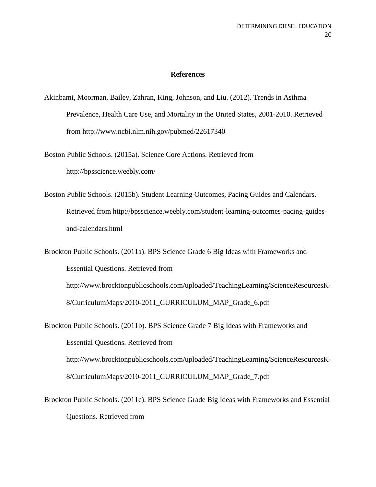# **References**

- Akinbami, Moorman, Bailey, Zahran, King, Johnson, and Liu. (2012). Trends in Asthma Prevalence, Health Care Use, and Mortality in the United States, 2001-2010. Retrieved from http://www.ncbi.nlm.nih.gov/pubmed/22617340
- Boston Public Schools. (2015a). Science Core Actions. Retrieved from <http://bpsscience.weebly.com/>
- Boston Public Schools. (2015b). Student Learning Outcomes, Pacing Guides and Calendars. Retrieved from http://bpsscience.weebly.com/student-learning-outcomes-pacing-guidesand-calendars.html

Brockton Public Schools. (2011a). BPS Science Grade 6 Big Ideas with Frameworks and Essential Questions. Retrieved from http://www.brocktonpublicschools.com/uploaded/TeachingLearning/ScienceResourcesK-8/CurriculumMaps/2010-2011\_CURRICULUM\_MAP\_Grade\_6.pdf

- Brockton Public Schools. (2011b). BPS Science Grade 7 Big Ideas with Frameworks and Essential Questions. Retrieved from <http://www.brocktonpublicschools.com/uploaded/TeachingLearning/ScienceResourcesK->8/CurriculumMaps/2010-2011\_CURRICULUM\_MAP\_Grade\_7.pdf
- Brockton Public Schools. (2011c). BPS Science Grade Big Ideas with Frameworks and Essential Questions. Retrieved from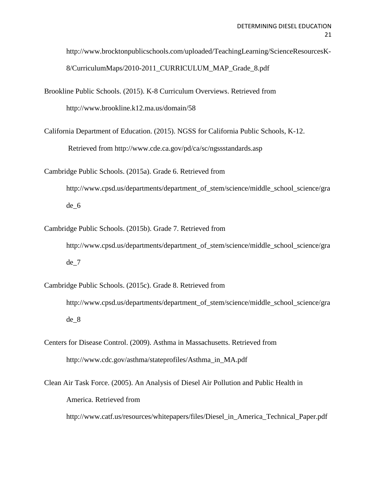http://www.brocktonpublicschools.com/uploaded/TeachingLearning/ScienceResourcesK-8/CurriculumMaps/2010-2011\_CURRICULUM\_MAP\_Grade\_8.pdf

Brookline Public Schools. (2015). K-8 Curriculum Overviews. Retrieved from <http://www.brookline.k12.ma.us/domain/58>

California Department of Education. (2015). NGSS for California Public Schools, K-12. Retrieved from http://www.cde.ca.gov/pd/ca/sc/ngssstandards.asp

Cambridge Public Schools. (2015a). Grade 6. Retrieved from

http://www.cpsd.us/departments/department\_of\_stem/science/middle\_school\_science/gra de\_6

Cambridge Public Schools. (2015b). Grade 7. Retrieved from http://www.cpsd.us/departments/department\_of\_stem/science/middle\_school\_science/gra de\_7

- Cambridge Public Schools. (2015c). Grade 8. Retrieved from http://www.cpsd.us/departments/department\_of\_stem/science/middle\_school\_science/gra de\_8
- Centers for Disease Control. (2009). Asthma in Massachusetts. Retrieved from http://www.cdc.gov/asthma/stateprofiles/Asthma\_in\_MA.pdf

Clean Air Task Force. (2005). An Analysis of Diesel Air Pollution and Public Health in America. Retrieved from http://www.catf.us/resources/whitepapers/files/Diesel\_in\_America\_Technical\_Paper.pdf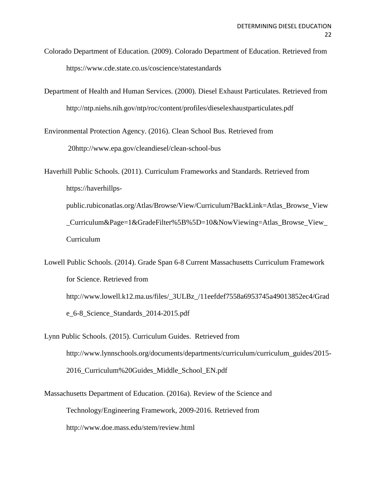Colorado Department of Education. (2009). Colorado Department of Education. Retrieved from https://www.cde.state.co.us/coscience/statestandards

Department of Health and Human Services. (2000). Diesel Exhaust Particulates. Retrieved from http://ntp.niehs.nih.gov/ntp/roc/content/profiles/dieselexhaustparticulates.pdf

Environmental Protection Agency. (2016). Clean School Bus. Retrieved from 20http://www.epa.gov/cleandiesel/clean-school-bus

Haverhill Public Schools. (2011). Curriculum Frameworks and Standards. Retrieved from https://haverhillpspublic.rubiconatlas.org/Atlas/Browse/View/Curriculum?BackLink=Atlas\_Browse\_View \_Curriculum&Page=1&GradeFilter%5B%5D=10&NowViewing=Atlas\_Browse\_View\_ Curriculum

Lowell Public Schools. (2014). Grade Span 6-8 Current Massachusetts Curriculum Framework for Science. Retrieved from http://www.lowell.k12.ma.us/files/\_3ULBz\_/11eefdef7558a6953745a49013852ec4/Grad e\_6-8\_Science\_Standards\_2014-2015.pdf

Lynn Public Schools. (2015). Curriculum Guides. Retrieved from http://www.lynnschools.org/documents/departments/curriculum/curriculum\_guides/2015- 2016\_Curriculum%20Guides\_Middle\_School\_EN.pdf

Massachusetts Department of Education. (2016a). Review of the Science and Technology/Engineering Framework, 2009-2016. Retrieved from http://www.doe.mass.edu/stem/review.html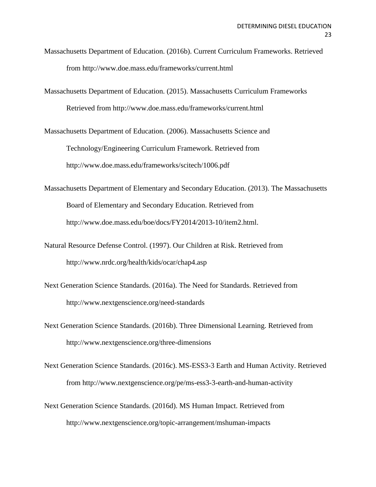- Massachusetts Department of Education. (2016b). Current Curriculum Frameworks. Retrieved from http://www.doe.mass.edu/frameworks/current.html
- Massachusetts Department of Education. (2015). Massachusetts Curriculum Frameworks Retrieved from<http://www.doe.mass.edu/frameworks/current.html>

Massachusetts Department of Education. (2006). Massachusetts Science and Technology/Engineering Curriculum Framework. Retrieved from http://www.doe.mass.edu/frameworks/scitech/1006.pdf

- Massachusetts Department of Elementary and Secondary Education. (2013). The Massachusetts Board of Elementary and Secondary Education. Retrieved from [http://www.doe.mass.edu/boe/docs/FY2014/2013-10/item2.html.](http://www.doe.mass.edu/boe/docs/FY2014/2013-10/item2.html)
- Natural Resource Defense Control. (1997). Our Children at Risk. Retrieved from <http://www.nrdc.org/health/kids/ocar/chap4.asp>
- Next Generation Science Standards. (2016a). The Need for Standards. Retrieved from http://www.nextgenscience.org/need-standards
- Next Generation Science Standards. (2016b). Three Dimensional Learning. Retrieved from http://www.nextgenscience.org/three-dimensions
- Next Generation Science Standards. (2016c). MS-ESS3-3 Earth and Human Activity. Retrieved from http://www.nextgenscience.org/pe/ms-ess3-3-earth-and-human-activity
- Next Generation Science Standards. (2016d). MS Human Impact. Retrieved from http://www.nextgenscience.org/topic-arrangement/mshuman-impacts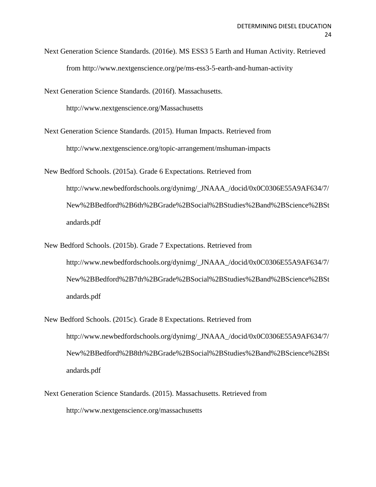Next Generation Science Standards. (2016e). MS ESS3 5 Earth and Human Activity. Retrieved from http://www.nextgenscience.org/pe/ms-ess3-5-earth-and-human-activity

Next Generation Science Standards. (2016f). Massachusetts.

http://www.nextgenscience.org/Massachusetts

Next Generation Science Standards. (2015). Human Impacts. Retrieved from http://www.nextgenscience.org/topic-arrangement/mshuman-impacts

New Bedford Schools. (2015a). Grade 6 Expectations. Retrieved from http://www.newbedfordschools.org/dynimg/\_JNAAA\_/docid/0x0C0306E55A9AF634/7/ New%2BBedford%2B6th%2BGrade%2BSocial%2BStudies%2Band%2BScience%2BSt andards.pdf

New Bedford Schools. (2015b). Grade 7 Expectations. Retrieved from http://www.newbedfordschools.org/dynimg/\_JNAAA\_/docid/0x0C0306E55A9AF634/7/ New%2BBedford%2B7th%2BGrade%2BSocial%2BStudies%2Band%2BScience%2BSt andards.pdf

- New Bedford Schools. (2015c). Grade 8 Expectations. Retrieved from http://www.newbedfordschools.org/dynimg/\_JNAAA\_/docid/0x0C0306E55A9AF634/7/ New%2BBedford%2B8th%2BGrade%2BSocial%2BStudies%2Band%2BScience%2BSt andards.pdf
- Next Generation Science Standards. (2015). Massachusetts. Retrieved from http://www.nextgenscience.org/massachusetts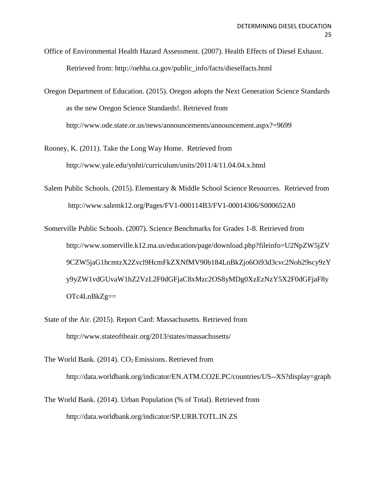- Office of Environmental Health Hazard Assessment. (2007). Health Effects of Diesel Exhaust. Retrieved from: http://oehha.ca.gov/public\_info/facts/dieselfacts.html
- Oregon Department of Education. (2015). Oregon adopts the Next Generation Science Standards as the new Oregon Science Standards!. Retrieved from http://www.ode.state.or.us/news/announcements/announcement.aspx?=9699
- Rooney, K. (2011). Take the Long Way Home. Retrieved from http://www.yale.edu/ynhti/curriculum/units/2011/4/11.04.04.x.html
- Salem Public Schools. (2015). Elementary & Middle School Science Resources. Retrieved from http://www.salemk12.org/Pages/FV1-000114B3/FV1-00014306/S000652A0
- Somerville Public Schools. (2007). Science Benchmarks for Grades 1-8. Retrieved from http://www.somerville.k12.ma.us/education/page/download.php?fileinfo=U2NpZW5jZV 9CZW5jaG1hcmtzX2Zvcl9HcmFkZXNfMV90b184LnBkZjo6Oi93d3cvc2Nob29scy9zY y9yZW1vdGUvaW1hZ2VzL2F0dGFjaC8xMzc2OS8yMDg0XzEzNzY5X2F0dGFjaF8y OTc4LnBkZg==
- State of the Air. (2015). Report Card: Massachusetts. Retrieved from http://www.stateoftheair.org/2013/states/massachusetts/
- The World Bank.  $(2014)$ .  $CO<sub>2</sub>$  Emissions. Retrieved from http://data.worldbank.org/indicator/EN.ATM.CO2E.PC/countries/US--XS?display=graph
- The World Bank. (2014). Urban Population (% of Total). Retrieved from http://data.worldbank.org/indicator/SP.URB.TOTL.IN.ZS